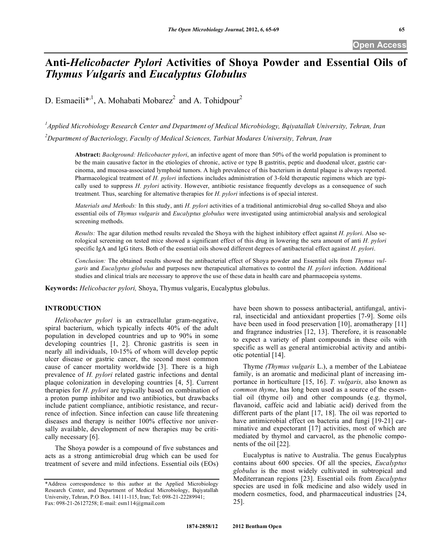# **Anti-***Helicobacter Pylori* **Activities of Shoya Powder and Essential Oils of**  *Thymus Vulgaris* **and** *Eucalyptus Globulus*

D. Esmaeili\*<sup>,1</sup>, A. Mohabati Mobarez<sup>2</sup> and A. Tohidpour<sup>2</sup>

*1 Applied Microbiology Research Center and Department of Medical Microbiology, Bqiyatallah University, Tehran, Iran*

*2 Department of Bacteriology, Faculty of Medical Sciences, Tarbiat Modares University, Tehran, Iran*

**Abstract:** *Background: Helicobacter pylori*, an infective agent of more than 50% of the world population is prominent to be the main causative factor in the etiologies of chronic, active or type B gastritis, peptic and duodenal ulcer, gastric carcinoma, and mucosa-associated lymphoid tumors. A high prevalence of this bacterium in dental plaque is always reported. Pharmacological treatment of *H. pylori* infections includes administration of 3-fold therapeutic regimens which are typically used to suppress *H. pylori* activity. However, antibiotic resistance frequently develops as a consequence of such treatment. Thus, searching for alternative therapies for *H. pylori* infections is of special interest.

*Materials and Methods:* In this study, anti *H. pylori* activities of a traditional antimicrobial drug so-called Shoya and also essential oils of *Thymus vulgaris* and *Eucalyptus globulus* were investigated using antimicrobial analysis and serological screening methods.

*Results:* The agar dilution method results revealed the Shoya with the highest inhibitory effect against *H. pylori*. Also serological screening on tested mice showed a significant effect of this drug in lowering the sera amount of anti *H. pylori* specific IgA and IgG titers. Both of the essential oils showed different degrees of antibacterial effect against *H. pylori*.

*Conclusion:* The obtained results showed the antibacterial effect of Shoya powder and Essential oils from *Thymus vulgaris* and *Eucalyptus globulus* and purposes new therapeutical alternatives to control the *H. pylori* infection. Additional studies and clinical trials are necessary to approve the use of these data in health care and pharmacopeia systems.

**Keywords:** *Helicobacter pylori,* Shoya, Thymus vulgaris, Eucalyptus globulus.

# **INTRODUCTION**

*Helicobacter pylori* is an extracellular gram-negative, spiral bacterium, which typically infects 40% of the adult population in developed countries and up to 90% in some developing countries [1, 2]. Chronic gastritis is seen in nearly all individuals, 10-15% of whom will develop peptic ulcer disease or gastric cancer, the second most common cause of cancer mortality worldwide [3]. There is a high prevalence of *H. pylori* related gastric infections and dental plaque colonization in developing countries [4, 5]. Current therapies for *H. pylori* are typically based on combination of a proton pump inhibitor and two antibiotics, but drawbacks include patient compliance, antibiotic resistance, and recurrence of infection. Since infection can cause life threatening diseases and therapy is neither 100% effective nor universally available, development of new therapies may be critically necessary [6].

The Shoya powder is a compound of five substances and acts as a strong antimicrobial drug which can be used for treatment of severe and mild infections. Essential oils (EOs)

have been shown to possess antibacterial, antifungal, antiviral, insecticidal and antioxidant properties [7-9]. Some oils have been used in food preservation [10], aromatherapy [11] and fragrance industries [12, 13]. Therefore, it is reasonable to expect a variety of plant compounds in these oils with specific as well as general antimicrobial activity and antibiotic potential [14].

Thyme *(Thymus vulgaris* L.), a member of the Labiateae family, is an aromatic and medicinal plant of increasing importance in horticulture [15, 16]. *T. vulgaris,* also known as *common thyme*, has long been used as a source of the essential oil (thyme oil) and other compounds (e.g. thymol, flavanoid, caffeic acid and labiatic acid) derived from the different parts of the plant [17, 18]. The oil was reported to have antimicrobial effect on bacteria and fungi [19-21] carminative and expectorant [17] activities, most of which are mediated by thymol and carvacrol, as the phenolic components of the oil [22].

Eucalyptus is native to Australia. The genus Eucalyptus contains about 600 species. Of all the species, *Eucalyptus globulus* is the most widely cultivated in subtropical and Mediterranean regions [23]. Essential oils from *Eucalyptus* species are used in folk medicine and also widely used in modern cosmetics, food, and pharmaceutical industries [24, 25].

<sup>\*</sup>Address correspondence to this author at the Applied Microbiology Research Center, and Department of Medical Microbiology, Bqiyatallah University, Tehran, P.O Box. 14111-115, Iran; Tel: 098-21-22289941; Fax: 098-21-26127258; E-mail: esm114@gmail.com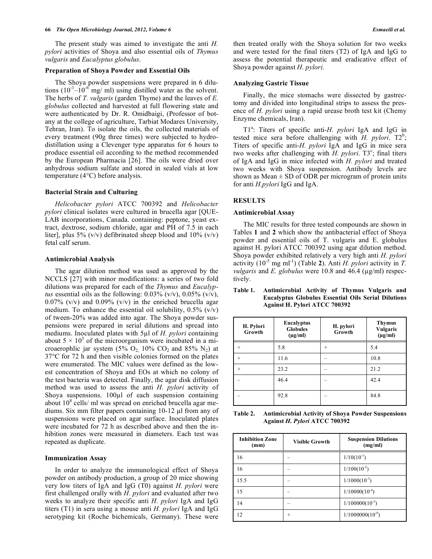#### **66** *The Open Microbiology Journal, 2012, Volume 6 Esmaeili et al.*

The present study was aimed to investigate the anti *H. pylori* activities of Shoya and also essential oils of *Thymus vulgaris* and *Eucalyptus globulus*.

## **Preparation of Shoya Powder and Essential Oils**

The Shoya powder suspensions were prepared in 6 dilutions  $(10^{-1} - 10^{-6}$  mg/ ml) using distilled water as the solvent. The herbs of *T. vulgaris* (garden Thyme) and the leaves of *E. globulus* collected and harvested at full flowering state and were authenticated by Dr. R. Omidbaigi, (Professor of botany at the college of agriculture, Tarbiat Modares University, Tehran, Iran). To isolate the oils, the collected materials of every treatment (90g three times) were subjected to hydrodistillation using a Clevenger type apparatus for 6 hours to produce essential oil according to the method recommended by the European Pharmacia [26]. The oils were dried over anhydrous sodium sulfate and stored in sealed vials at low temperature (4°C) before analysis.

## **Bacterial Strain and Culturing**

*Helicobacter pylori* ATCC 700392 and *Helicobacter pylori* clinical isolates were cultured in brucella agar [QUE-LAB incorporations, Canada. containing: peptone, yeast extract, dextrose, sodium chloride, agar and PH of 7.5 in each liter], plus 5% (v/v) defibrinated sheep blood and  $10\%$  (v/v) fetal calf serum.

## **Antimicrobial Analysis**

The agar dilution method was used as approved by the NCCLS [27] with minor modifications: a series of two fold dilutions was prepared for each of the *Thymus* and *Eucalyptus* essential oils as the following:  $0.03\%$  (v/v),  $0.05\%$  (v/v), 0.07% (v/v) and 0.09% (v/v) in the enriched brucella agar medium. To enhance the essential oil solubility,  $0.5\%$  (v/v) of tween-20% was added into agar. The Shoya powder suspensions were prepared in serial dilutions and spread into mediums. Inoculated plates with 5µl of *H. pylori* containing about  $5 \times 10^5$  of the microorganism were incubated in a microaerophlic jar system (5%  $O_2$ , 10%  $CO_2$  and 85%  $N_2$ ) at 37°C for 72 h and then visible colonies formed on the plates were enumerated. The MIC values were defined as the lowest concentration of Shoya and EOs at which no colony of the test bacteria was detected. Finally, the agar disk diffusion method was used to assess the anti *H. pylori* activity of Shoya suspensions. 100µl of each suspension containing about  $10^8$  cells/ ml was spread on enriched brucella agar mediums. Six mm filter papers containing 10-12 µl from any of suspensions were placed on agar surface. Inoculated plates were incubated for 72 h as described above and then the inhibition zones were measured in diameters. Each test was repeated as duplicate.

# **Immunization Assay**

In order to analyze the immunological effect of Shoya powder on antibody production, a group of 20 mice showing very low titers of IgA and IgG (T0) against *H. pylori* were first challenged orally with *H. pylori* and evaluated after two weeks to analyze their specific anti *H. pylori* IgA and IgG titers (T1) in sera using a mouse anti *H. pylori* IgA and IgG serotyping kit (Roche bichemicals, Germany). These were then treated orally with the Shoya solution for two weeks and were tested for the final titers (T2) of IgA and IgG to assess the potential therapeutic and eradicative effect of Shoya powder against *H. pylori*.

#### **Analyzing Gastric Tissue**

Finally, the mice stomachs were dissected by gastrectomy and divided into longitudinal strips to assess the presence of *H. pylori* using a rapid urease broth test kit (Chemy Enzyme chemicals, Iran).

T1<sup>a</sup>: Titers of specific anti-*H. pylori* IgA and IgG in tested mice sera before challenging with *H. pylori*.  $T2^b$ ; Titers of specific anti-*H. pylori* IgA and IgG in mice sera two weeks after challenging with  $H$ . *pylori*. T3<sup>c</sup>; final titers of IgA and IgG in mice infected with *H. pylori* and treated two weeks with Shoya suspension. Antibody levels are shown as Mean  $\pm$  SD of ODR per microgram of protein units for anti *H.pylori* IgG and IgA.

## **RESULTS**

## **Antimicrobial Assay**

The MIC results for three tested compounds are shown in Tables **1** and **2** which show the antibacterial effect of Shoya powder and essential oils of T. vulgaris and E. globulus against H. pylori ATCC 700392 using agar dilution method. Shoya powder exhibited relatively a very high anti *H. pylori* activity  $(10^{-5} \text{ mg ml}^{-1})$  (Table 2). Anti *H. pylori* activity in *T. vulgaris* and *E. globulus* were 10.8 and 46.4 (µg/ml) respectively.

| H. Pylori<br>Growth | <b>Eucalyptus</b><br><b>Globules</b><br>$(\mu g/ml)$ | H. pylori<br>Growth | <b>Thymus</b><br><b>Vulgaris</b><br>$(\mu g/ml)$ |
|---------------------|------------------------------------------------------|---------------------|--------------------------------------------------|
|                     | 5.8                                                  | $\overline{+}$      | 5.4                                              |
| $^{+}$              | 11.6                                                 |                     | 10.8                                             |
| $^{+}$              | 23.2                                                 |                     | 21.2                                             |
|                     | 46.4                                                 |                     | 42.4                                             |
|                     | 92.8                                                 |                     | 84.8                                             |

# **Table 1. Antimicrobial Activity of Thymus Vulgaris and Eucalyptus Globulus Essential Oils Serial Dilutions Against H. Pylori ATCC 700392**

| Table 2. | <b>Antimicrobial Activity of Shoya Powder Suspensions</b> |
|----------|-----------------------------------------------------------|
|          | Against H. Pylori ATCC 700392                             |

| <b>Inhibition Zone</b><br>(mm) | <b>Visible Growth</b> | <b>Suspension Dilutions</b><br>(mg/ml) |
|--------------------------------|-----------------------|----------------------------------------|
| 16                             |                       | $1/10(10^{-1})$                        |
| 16                             |                       | $1/100(10^{-2})$                       |
| 15.5                           |                       | $1/1000(10^{-3})$                      |
| 15                             |                       | $1/10000(10^{-4})$                     |
| 14                             |                       | $1/100000(10^{-5})$                    |
|                                | ٠                     | $1/1000000(10^{-6})$                   |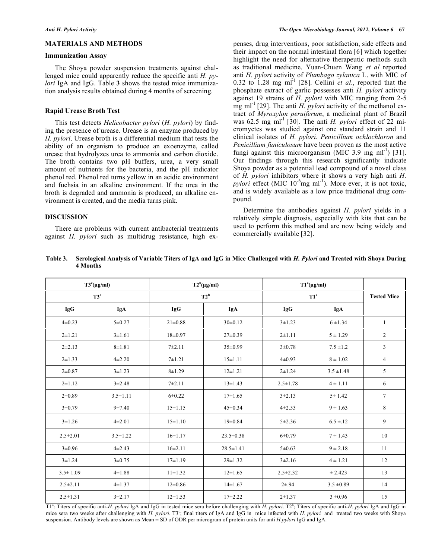#### **MATERIALS AND METHODS**

#### **Immunization Assay**

The Shoya powder suspension treatments against challenged mice could apparently reduce the specific anti *H. pylori* IgA and IgG. Table **3** shows the tested mice immunization analysis results obtained during 4 months of screening.

#### **Rapid Urease Broth Test**

This test detects *Helicobacter pylori* (*H. pylori*) by finding the presence of urease. Urease is an enzyme produced by *H. pylori*. Urease broth is a differential medium that tests the ability of an organism to produce an exoenzyme, called urease that hydrolyzes urea to ammonia and carbon dioxide. The broth contains two pH buffers, urea, a very small amount of nutrients for the bacteria, and the pH indicator phenol red. Phenol red turns yellow in an acidic environment and fuchsia in an alkaline environment. If the urea in the broth is degraded and ammonia is produced, an alkaline environment is created, and the media turns pink.

# **DISCUSSION**

There are problems with current antibacterial treatments against *H. pylori* such as multidrug resistance, high expenses, drug interventions, poor satisfaction, side effects and their impact on the normal intestinal flora [6] which together highlight the need for alternative therapeutic methods such as traditional medicine. Yuan-Chuen Wang *et al* reported anti *H. pylori* activity of *Plumbago zylanica* L. with MIC of  $0.32$  to  $1.28$  mg ml<sup>-1</sup> [28]. Cellini *et al.*, reported that the phosphate extract of garlic possesses anti *H. pylori* activity against 19 strains of *H. pylori* with MIC ranging from 2-5 mg ml<sup>-1</sup> [29]. The anti *H. pylori* activity of the methanol extract of *Myroxylon peruiferum*, a medicinal plant of Brazil was 62.5 mg ml<sup>-1</sup> [30]. The anti *H. pylori* effect of 22 micromyctes was studied against one standard strain and 11 clinical isolates of *H. pylori. Penicillium ochlochloron* and *Penicillium funiculosum* have been proven as the most active fungi against this microorganism (MIC 3.9 mg ml<sup>-1</sup>) [31]. Our findings through this research significantly indicate Shoya powder as a potential lead compound of a novel class of *H. pylori* inhibitors where it shows a very high anti *H. pylori* effect (MIC 10<sup>-6</sup>mg ml<sup>-1</sup>). More ever, it is not toxic, and is widely available as a low price traditional drug compound.

Determine the antibodies against *H. pylori* yields in a relatively simple diagnosis, especially with kits that can be used to perform this method and are now being widely and commercially available [32].

| Table 3. Serological Analysis of Variable Titers of IgA and IgG in Mice Challenged with H. Pylori and Treated with Shoya During |  |
|---------------------------------------------------------------------------------------------------------------------------------|--|
| 4 Months                                                                                                                        |  |

| $T3^{c}(\mu g/ml)$ |                | $T2^b(\mu g/ml)$ |                 | $T1^a(\mu g/ml)$           |                | <b>Tested Mice</b> |
|--------------------|----------------|------------------|-----------------|----------------------------|----------------|--------------------|
| T3 <sup>c</sup>    |                | $T2^b$           |                 | $\mathrm{T1}^{\mathrm{a}}$ |                |                    |
| IgG                | IgA            | IgG              | IgA             | <b>IgG</b>                 | IgA            |                    |
| $4\pm 0.23$        | $5 \pm 0.27$   | $21 \pm 0.88$    | $30\pm0.12$     | $3 \pm 1.23$               | $6 + 1.34$     | $\mathbf{1}$       |
| $2 + 1.21$         | $3 \pm 1.61$   | $18+0.97$        | $27 \pm 0.39$   | $2 + 1.11$                 | $5 \pm 1.29$   | $\overline{2}$     |
| $2 + 2.13$         | $8 + 1.81$     | $7 + 2.11$       | $35\pm0.99$     | 3 ± 0.78                   | $7.5 \pm 1.2$  | 3                  |
| $2 + 1.33$         | $4 + 2.20$     | $7 + 1.21$       | $15 \pm 1.11$   | $4\pm 0.93$                | $8\pm1.02$     | $\overline{4}$     |
| $2 + 0.87$         | $3 + 1.23$     | $8 + 1.29$       | $12 \pm 1.21$   | $2 + 1.24$                 | $3.5 \pm 1.48$ | 5                  |
| $2 + 1.12$         | $3+2.48$       | $7 + 2.11$       | $13 \pm 1.43$   | $2.5 \pm 1.78$             | $4 \pm 1.11$   | 6                  |
| $2\pm 0.89$        | $3.5 \pm 1.11$ | $6 + 0.22$       | $17\pm1.65$     | $3+2.13$                   | 5 ± 1.42       | $7\phantom{.0}$    |
| $3 + 0.79$         | $9 + 7.40$     | $15 \pm 1.15$    | $45 \pm 0.34$   | $4 + 2.53$                 | $9 \pm 1.63$   | 8                  |
| $3 \pm 1.26$       | $4\pm 2.01$    | $15 \pm 1.10$    | $19 \pm 0.84$   | $5 + 2.36$                 | $6.5 \pm 12$   | 9                  |
| $2.5 \pm 2.01$     | $3.5 \pm 1.22$ | $16 \pm 1.17$    | $23.5 \pm 0.38$ | $6 + 0.79$                 | $7 \pm 1.43$   | 10                 |
| $3 \pm 0.96$       | $4 + 2.43$     | $16 \pm 2.11$    | $28.5 \pm 1.41$ | 5 ± 0.63                   | $9 \pm 2.18$   | 11                 |
| $3 + 1.24$         | $3 + 0.75$     | $17\pm1.19$      | $29 \pm 1.32$   | 3 ± 2.16                   | $4 \pm 1.21$   | 12                 |
| $3.5 \pm 1.09$     | $4 \pm 1.88$   | $11 \pm 1.32$    | $12 \pm 1.65$   | $2.5 \pm 2.32$             | ± 2.423        | 13                 |
| $2.5 \pm 2.11$     | $4 \pm 1.37$   | $12\pm0.86$      | $14 \pm 1.67$   | $2 + .94$                  | $3.5 \pm 0.89$ | 14                 |
| $2.5 \pm 1.31$     | 3 ± 2.17       | $12 \pm 1.53$    | $17 + 2.22$     | $2 + 1.37$                 | $3 \pm 0.96$   | 15                 |

T<sup>1a</sup>: Titers of specific anti-*H. pylori* IgA and IgG in tested mice sera before challenging with *H. pylori*. T2<sup>b</sup>; Titers of specific anti-*H. pylori* IgA and IgG in mice sera two weeks after challenging with *H. pylori*. T3<sup>c</sup>; final titers of IgA and IgG in mice infected with *H. pylori* and treated two weeks with Shoya suspension. Antibody levels are shown as Mean ± SD of ODR per microgram of protein units for anti *H.pylori* IgG and IgA.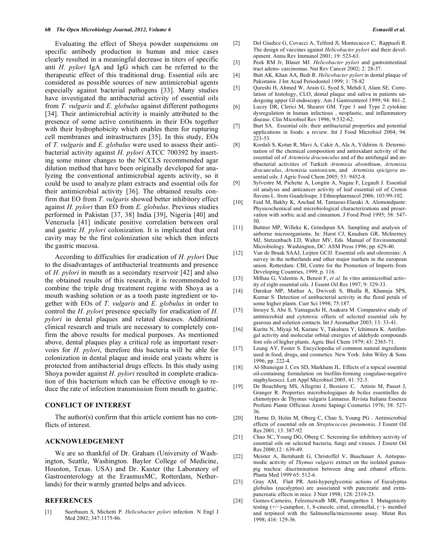Evaluating the effect of Shoya powder suspensions on specific antibody production in human and mice cases clearly resulted in a meaningful decrease in titers of specific anti *H. pylori* IgA and IgG which can be referred to the therapeutic effect of this traditional drug. Essential oils are considered as possible sources of new antimicrobial agents especially against bacterial pathogens [33]. Many studies have investigated the antibacterial activity of essential oils from *T. vulgaris* and *E. globulus* against different pathogens [34]. Their antimicrobial activity is mainly attributed to the presence of some active constituents in their EOs together with their hydrophobicity which enables them for rupturing cell membranes and intrastructures [35]. In this study, EOs of *T. vulgaris* and *E. globulus* were used to assess their antibacterial activity against *H. pylori* ATCC 700392 by inserting some minor changes to the NCCLS recommended agar dilution method that have been originally developed for analyzing the conventional antimicrobial agents activity, so it could be used to analyze plant extracts and essential oils for their antimicrobial activity [36]. The obtained results confirm that EO from *T. vulgaris* showed better inhibitory effect against *H. pylori* than EO from *E. globulus*. Previous studies performed in Pakistan [37, 38] India [39], Nigeria [40] and Venezuela [41] indicate positive correlation between oral and gastric *H. pylori* colonization. It is implicated that oral cavity may be the first colonization site which then infects the gastric mucosa.

According to difficulties for eradication of *H. pylori* Due to the disadvantages of antibacterial treatments and presence of *H. pylori* in mouth as a secondary reservoir [42] and also the obtained results of this research, it is recommended to combine the triple drug treatment regime with Shoya as a mouth washing solution or as a tooth paste ingredient or together with EOs of *T. vulgaris* and *E. globulus* in order to control the *H. pylori* presence specially for eradication of *H. pylori* in dental plaques and related diseases. Additional clinical research and trials are necessary to completely confirm the above results for medical purposes. As mentioned above, dental plaques play a critical role as important reservoirs for *H. pylori*, therefore this bacteria will be able for colonization in dental plaque and inside oral yeasts where is protected from antibacterial drugs effects. In this study using Shoya powder against *H. pylori* resulted in complete eradication of this bacterium which can be effective enough to reduce the rate of infection transmission from mouth to gastric.

## **CONFLICT OF INTEREST**

The author(s) confirm that this article content has no conflicts of interest.

## **ACKNOWLEDGEMENT**

We are so thankful of Dr. Graham (University of Washington, Seattle, Washington. Baylor College of Medicine, Houston, Texas. USA) and Dr. Kuster (the Laboratory of Gastroenterology at the ErasmusMC, Rotterdam, Netherlands) for their warmly granted helps and advices.

#### **REFERENCES**

[1] Suerbaum S, Michetti P. *Helicobacter pylori* infection. N Engl J Med 2002; 347:1175-86.

- [2] Del Giudice G, Covacci A, Telford Jl, Montecucco C, Rappuoli R. The design of vaccines against *Helicobacter pylori* and their development. Annu Rev Immunol 2001; 19: 523-63.
- [3] Peek RM Jr, Blaser MJ. *Helicobacter pylori* and gastrointestinal tract adeno- carcinomas. Nat Rev Cancer 2002; 2: 28-37.
- [4] Butt AK, Khan AA, Bedi R. *Helicobacter pylori* in dental plaque of Pakistanis. J Int Acad Periodontol 1999; 1: 78-82
- [5] Qureshi H, Ahmed W, Arain G, Syed S, Mehdi I, Alam SE. Correlation of histology, CLO, dental plaque and saliva in patients undergoing upper GI endoscopy. Am J Gastroenterol 1999; 94: 861-2.
- [6] Lucey DR, Clerici M, Shearer GM. Type 1 and Type 2 cytokine dysregulation in human infectious , neoplastic, and inflammatory disease. Clin Microbiol Rev 1996; 9:532-62.
- [7] Burt SA. Essential oils: their antibacterial properties and potential applications in foods: a review. Int J Food Microbiol 2004; 94: 223-53
- [8] Kordali S, Kotan R, Mavi A, Cakir A, Ala A, Yildirim A. Determination of the chemical composition and antioxidant activity of the essential oil of *Artemisia dracunculus* and of the antifungal and antibacterial activities of Turkish *Artemisia absinthium*, *Artemisia dracunculus*, *Artemisia santonicum*, and *Artemisia spicigera* essential oils. J Agric Food Chem 2005; 53: 9452-8.
- [9] Sylvestre M, Pichette A, Longtin A, Nagau F, Legault J. Essential oil analysis and anticancer activity of leaf essential oil of Croton flavens L. from Guadeloupe. J Ethnopharmacol 2006; 103:99-102.
- [10] Faid M, Bakhy K, Anchad M, Tantaoui-Elaraki A. Alomondpaste: Physicochemical and microbiological characterizations and preservation with sorbic acid and cinnamon. J Food Prod 1995; 58: 547- 50.
- [11] Buttner MP, Willeke K, Grinshpun SA. Sampling and analysis of airborne microorganisms. In: Hurst CJ, Knudsen GR, McInerney MJ, Stetzenbach LD, Walter MV, Eds. Manual of Environmental Microbiology. Washington, DC: ASM Press 1996; pp. 629-40.
- [12] Van de Braak SAAJ, Leijten GCJJ. Essential oils and oleoresins: A survey in the netherlands and other major markets in the european union. Rotterdam: CBI, Centre for the Promotion of Imports from Developing Countries, 1999; p. 116.
- [13] Milhau G, Valentin A, Benoit F, *et al*. In vitro antimicrobial activity of eight essential oils. J Essent Oil Res 1997, 9: 329-33.
- [14] Darokar MP, Mathur A, Dwivedi S, Bhalla R, Khanuja SPS, Kumar S. Detection of antibacterial activity in the floral petals of some higher plants. Curr Sci 1998; 75:187.
- [15] Inouye S, Abe S, Yamaguchi H, Asakura M. Comparative study of antimicrobial and cytotoxic effects of selected essential oils by gaseous and solution contacts. Int J Aromather 2003; 13: 33-41.
- [16] Kurita N, Miyaji M, Kurane V, Takahara Y, Ichimura K. Antifungal activity and molecular orbital energies of aldehyde compounds fom oils of higher plants. Agric Biol Chem 1979; 43: 2365-71.
- [17] Leung AY, Foster S. Encyclopedia of common natural ingredients used in food, drugs, and cosmetics. New York: John Wiley & Sons 1996; pp. 222-4.
- [18] Al-Shuneigat J, Cox SD, Markham JL. Effects of a topical essential oil-containing formulation on biofilm-forming coagulase-negative staphylococci. Lett Appl Microbiol 2005, 41: 52-5.
- [19] De Bouchberg MS, Allegrini J, Bessiere C, Attisto M, Passet J, Granger R. Properties microbiologiques de bciles essentielles de chimotypes de Thymus vulgaris Linnaeus. Rivista Italiana Essenza Profumi Piante Officinai Aromi Sapingi Cosmetici 1976; 58: 527- 36.
- [20] Horne D, Holm M, Oberg C, Chao S, Young PG. Antimicrobial effects of essential oils on *Streptococcus pneumonia*. J Essent Oil Res 2001; 13: 387-92
- [21] Chao SC, Young DG, Oberg C. Screening for inhibitory activity of essential oils on selected bacteria, fungi and viruses. J Essent Oil Res 2000;12 : 639-49.
- [22] Meister A, Bernhardt G, Christoffel V, Buschauer A. Antispasmodic activity of *Thymus vulgaris* extract on the isolated guineapig trachea: discrimination between drug and ethanol effects. Planta Med 1999 65: 512-6.
- [23] Gray AM, Flatt PR. Anti-hyperglycemic actions of Eucalyptus globulus (eucalyptus) are associated with pancreatic and extrapancreatic effects in mice. J Nutr 1998; 128: 2319-23.
- [24] Gomes-Carneiro, Felzenszwalb MR, Paumgartten I. Mutagenicity testing (+/−)-camphor, 1, 8-cineole, citral, citronellal, (−)- menthol and terpineol with the Salmonella/microsome assay. Mutat Res 1998; 416: 129-36.